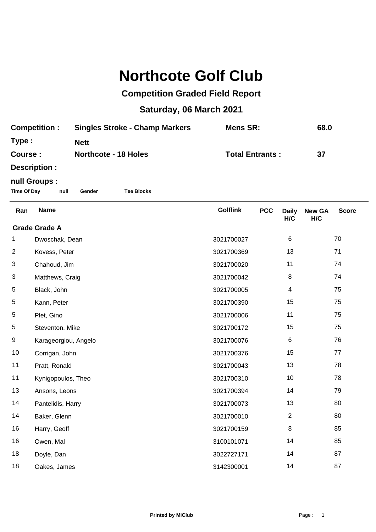## **Northcote Golf Club**

## **Competition Graded Field Report**

## **Saturday, 06 March 2021**

| <b>Competition:</b>                                                                                                                                                                                                                 | <b>Singles Stroke - Champ Markers</b> | Mens SR:               | 68.0 |
|-------------------------------------------------------------------------------------------------------------------------------------------------------------------------------------------------------------------------------------|---------------------------------------|------------------------|------|
| Type:                                                                                                                                                                                                                               | <b>Nett</b>                           |                        |      |
| Course:                                                                                                                                                                                                                             | <b>Northcote - 18 Holes</b>           | <b>Total Entrants:</b> | -37  |
| <b>B</b> and a set of the set of the set of the set of the set of the set of the set of the set of the set of the set of the set of the set of the set of the set of the set of the set of the set of the set of the set of the set |                                       |                        |      |

**Description :**

## **null Groups :**

**Time Of Day null Gender Tee Blocks**

| Ran                  | <b>Name</b>          | <b>Golflink</b> | <b>PCC</b> | <b>Daily</b><br>H/C | <b>New GA</b><br>H/C | <b>Score</b> |  |
|----------------------|----------------------|-----------------|------------|---------------------|----------------------|--------------|--|
| <b>Grade Grade A</b> |                      |                 |            |                     |                      |              |  |
| 1                    | Dwoschak, Dean       | 3021700027      |            | 6                   |                      | 70           |  |
| $\overline{c}$       | Kovess, Peter        | 3021700369      |            | 13                  |                      | 71           |  |
| 3                    | Chahoud, Jim         | 3021700020      |            | 11                  |                      | 74           |  |
| 3                    | Matthews, Craig      | 3021700042      |            | 8                   |                      | 74           |  |
| $\,$ 5 $\,$          | Black, John          | 3021700005      |            | $\overline{4}$      |                      | 75           |  |
| 5                    | Kann, Peter          | 3021700390      |            | 15                  |                      | 75           |  |
| $\,$ 5 $\,$          | Plet, Gino           | 3021700006      |            | 11                  |                      | 75           |  |
| 5                    | Steventon, Mike      | 3021700172      |            | 15                  |                      | 75           |  |
| 9                    | Karageorgiou, Angelo | 3021700076      |            | 6                   |                      | 76           |  |
| 10                   | Corrigan, John       | 3021700376      |            | 15                  |                      | 77           |  |
| 11                   | Pratt, Ronald        | 3021700043      |            | 13                  |                      | 78           |  |
| 11                   | Kynigopoulos, Theo   | 3021700310      |            | 10                  |                      | 78           |  |
| 13                   | Ansons, Leons        | 3021700394      |            | 14                  |                      | 79           |  |
| 14                   | Pantelidis, Harry    | 3021700073      |            | 13                  |                      | 80           |  |
| 14                   | Baker, Glenn         | 3021700010      |            | $\overline{2}$      |                      | 80           |  |
| 16                   | Harry, Geoff         | 3021700159      |            | 8                   |                      | 85           |  |
| 16                   | Owen, Mal            | 3100101071      |            | 14                  |                      | 85           |  |
| 18                   | Doyle, Dan           | 3022727171      |            | 14                  |                      | 87           |  |
| 18                   | Oakes, James         | 3142300001      |            | 14                  |                      | 87           |  |